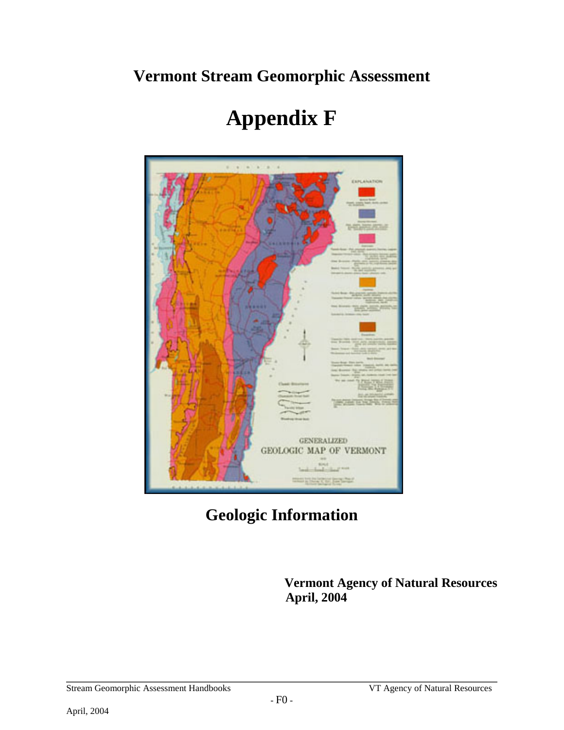# **Vermont Stream Geomorphic Assessment**



# **Appendix F**

**Geologic Information**

 **Vermont Agency of Natural Resources April, 2004**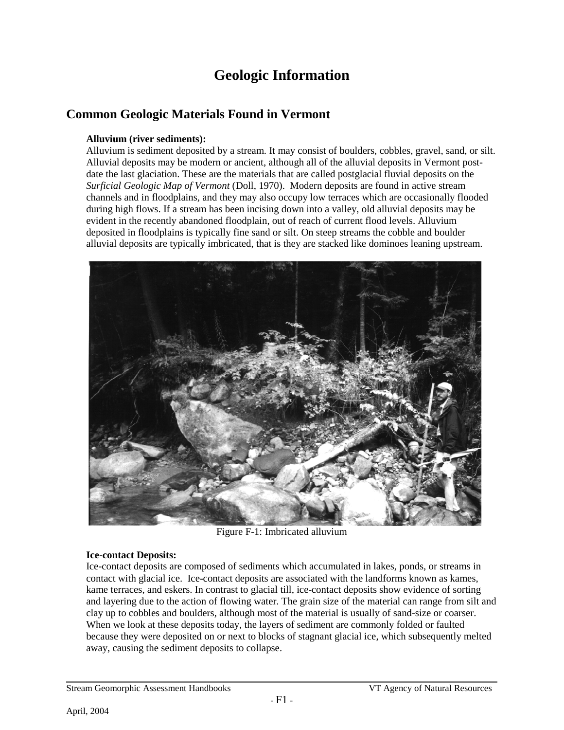# **Geologic Information**

### **Common Geologic Materials Found in Vermont**

#### **Alluvium (river sediments):**

Alluvium is sediment deposited by a stream. It may consist of boulders, cobbles, gravel, sand, or silt. Alluvial deposits may be modern or ancient, although all of the alluvial deposits in Vermont postdate the last glaciation. These are the materials that are called postglacial fluvial deposits on the *Surficial Geologic Map of Vermont* (Doll, 1970). Modern deposits are found in active stream channels and in floodplains, and they may also occupy low terraces which are occasionally flooded during high flows. If a stream has been incising down into a valley, old alluvial deposits may be evident in the recently abandoned floodplain, out of reach of current flood levels. Alluvium deposited in floodplains is typically fine sand or silt. On steep streams the cobble and boulder alluvial deposits are typically imbricated, that is they are stacked like dominoes leaning upstream.



Figure F-1: Imbricated alluvium

#### **Ice-contact Deposits:**

Ice-contact deposits are composed of sediments which accumulated in lakes, ponds, or streams in contact with glacial ice. Ice-contact deposits are associated with the landforms known as kames, kame terraces, and eskers. In contrast to glacial till, ice-contact deposits show evidence of sorting and layering due to the action of flowing water. The grain size of the material can range from silt and clay up to cobbles and boulders, although most of the material is usually of sand-size or coarser. When we look at these deposits today, the layers of sediment are commonly folded or faulted because they were deposited on or next to blocks of stagnant glacial ice, which subsequently melted away, causing the sediment deposits to collapse.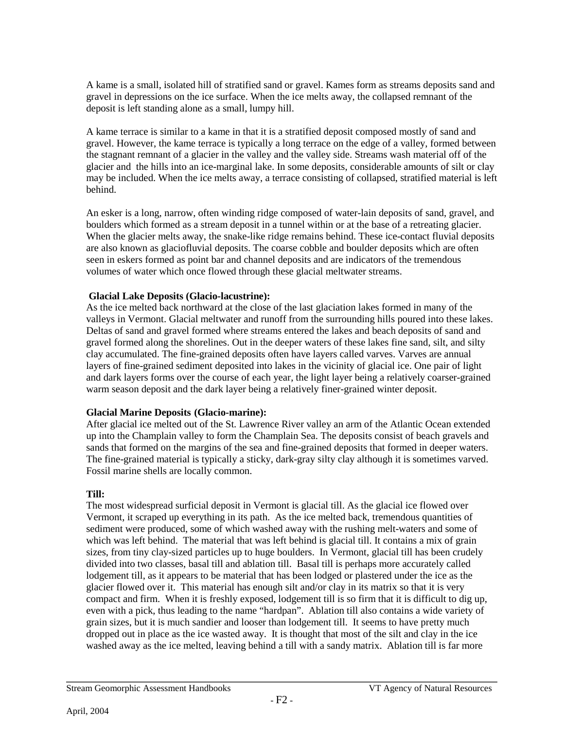A kame is a small, isolated hill of stratified sand or gravel. Kames form as streams deposits sand and gravel in depressions on the ice surface. When the ice melts away, the collapsed remnant of the deposit is left standing alone as a small, lumpy hill.

A kame terrace is similar to a kame in that it is a stratified deposit composed mostly of sand and gravel. However, the kame terrace is typically a long terrace on the edge of a valley, formed between the stagnant remnant of a glacier in the valley and the valley side. Streams wash material off of the glacier and the hills into an ice-marginal lake. In some deposits, considerable amounts of silt or clay may be included. When the ice melts away, a terrace consisting of collapsed, stratified material is left behind.

An esker is a long, narrow, often winding ridge composed of water-lain deposits of sand, gravel, and boulders which formed as a stream deposit in a tunnel within or at the base of a retreating glacier. When the glacier melts away, the snake-like ridge remains behind. These ice-contact fluvial deposits are also known as glaciofluvial deposits. The coarse cobble and boulder deposits which are often seen in eskers formed as point bar and channel deposits and are indicators of the tremendous volumes of water which once flowed through these glacial meltwater streams.

#### **Glacial Lake Deposits (Glacio-lacustrine):**

As the ice melted back northward at the close of the last glaciation lakes formed in many of the valleys in Vermont. Glacial meltwater and runoff from the surrounding hills poured into these lakes. Deltas of sand and gravel formed where streams entered the lakes and beach deposits of sand and gravel formed along the shorelines. Out in the deeper waters of these lakes fine sand, silt, and silty clay accumulated. The fine-grained deposits often have layers called varves. Varves are annual layers of fine-grained sediment deposited into lakes in the vicinity of glacial ice. One pair of light and dark layers forms over the course of each year, the light layer being a relatively coarser-grained warm season deposit and the dark layer being a relatively finer-grained winter deposit.

#### **Glacial Marine Deposits (Glacio-marine):**

After glacial ice melted out of the St. Lawrence River valley an arm of the Atlantic Ocean extended up into the Champlain valley to form the Champlain Sea. The deposits consist of beach gravels and sands that formed on the margins of the sea and fine-grained deposits that formed in deeper waters. The fine-grained material is typically a sticky, dark-gray silty clay although it is sometimes varved. Fossil marine shells are locally common.

#### **Till:**

The most widespread surficial deposit in Vermont is glacial till. As the glacial ice flowed over Vermont, it scraped up everything in its path. As the ice melted back, tremendous quantities of sediment were produced, some of which washed away with the rushing melt-waters and some of which was left behind. The material that was left behind is glacial till. It contains a mix of grain sizes, from tiny clay-sized particles up to huge boulders. In Vermont, glacial till has been crudely divided into two classes, basal till and ablation till. Basal till is perhaps more accurately called lodgement till, as it appears to be material that has been lodged or plastered under the ice as the glacier flowed over it. This material has enough silt and/or clay in its matrix so that it is very compact and firm. When it is freshly exposed, lodgement till is so firm that it is difficult to dig up, even with a pick, thus leading to the name "hardpan". Ablation till also contains a wide variety of grain sizes, but it is much sandier and looser than lodgement till. It seems to have pretty much dropped out in place as the ice wasted away. It is thought that most of the silt and clay in the ice washed away as the ice melted, leaving behind a till with a sandy matrix. Ablation till is far more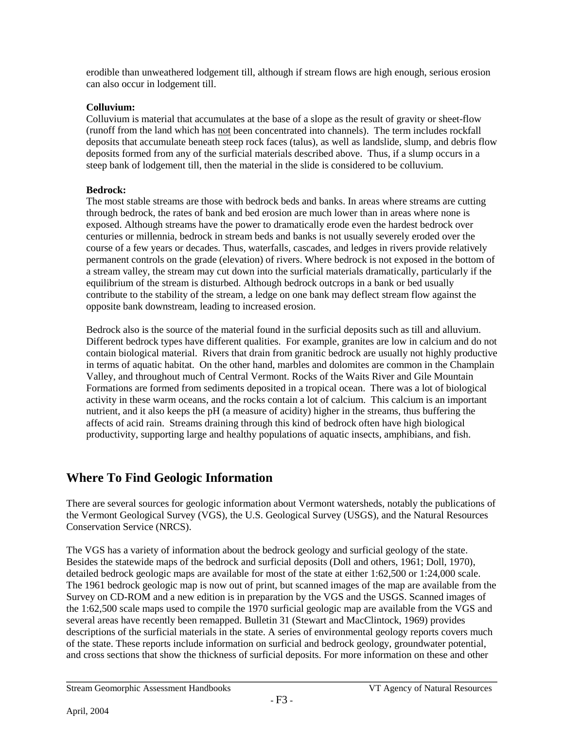erodible than unweathered lodgement till, although if stream flows are high enough, serious erosion can also occur in lodgement till.

#### **Colluvium:**

Colluvium is material that accumulates at the base of a slope as the result of gravity or sheet-flow (runoff from the land which has not been concentrated into channels). The term includes rockfall deposits that accumulate beneath steep rock faces (talus), as well as landslide, slump, and debris flow deposits formed from any of the surficial materials described above. Thus, if a slump occurs in a steep bank of lodgement till, then the material in the slide is considered to be colluvium.

#### **Bedrock:**

The most stable streams are those with bedrock beds and banks. In areas where streams are cutting through bedrock, the rates of bank and bed erosion are much lower than in areas where none is exposed. Although streams have the power to dramatically erode even the hardest bedrock over centuries or millennia, bedrock in stream beds and banks is not usually severely eroded over the course of a few years or decades. Thus, waterfalls, cascades, and ledges in rivers provide relatively permanent controls on the grade (elevation) of rivers. Where bedrock is not exposed in the bottom of a stream valley, the stream may cut down into the surficial materials dramatically, particularly if the equilibrium of the stream is disturbed. Although bedrock outcrops in a bank or bed usually contribute to the stability of the stream, a ledge on one bank may deflect stream flow against the opposite bank downstream, leading to increased erosion.

Bedrock also is the source of the material found in the surficial deposits such as till and alluvium. Different bedrock types have different qualities. For example, granites are low in calcium and do not contain biological material. Rivers that drain from granitic bedrock are usually not highly productive in terms of aquatic habitat. On the other hand, marbles and dolomites are common in the Champlain Valley, and throughout much of Central Vermont. Rocks of the Waits River and Gile Mountain Formations are formed from sediments deposited in a tropical ocean. There was a lot of biological activity in these warm oceans, and the rocks contain a lot of calcium. This calcium is an important nutrient, and it also keeps the pH (a measure of acidity) higher in the streams, thus buffering the affects of acid rain. Streams draining through this kind of bedrock often have high biological productivity, supporting large and healthy populations of aquatic insects, amphibians, and fish.

## **Where To Find Geologic Information**

There are several sources for geologic information about Vermont watersheds, notably the publications of the Vermont Geological Survey (VGS), the U.S. Geological Survey (USGS), and the Natural Resources Conservation Service (NRCS).

The VGS has a variety of information about the bedrock geology and surficial geology of the state. Besides the statewide maps of the bedrock and surficial deposits (Doll and others, 1961; Doll, 1970), detailed bedrock geologic maps are available for most of the state at either 1:62,500 or 1:24,000 scale. The 1961 bedrock geologic map is now out of print, but scanned images of the map are available from the Survey on CD-ROM and a new edition is in preparation by the VGS and the USGS. Scanned images of the 1:62,500 scale maps used to compile the 1970 surficial geologic map are available from the VGS and several areas have recently been remapped. Bulletin 31 (Stewart and MacClintock, 1969) provides descriptions of the surficial materials in the state. A series of environmental geology reports covers much of the state. These reports include information on surficial and bedrock geology, groundwater potential, and cross sections that show the thickness of surficial deposits. For more information on these and other